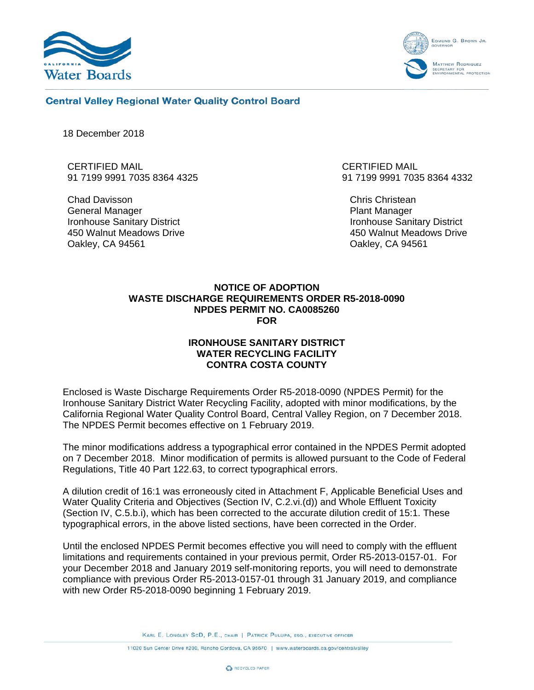



## **Central Valley Regional Water Quality Control Board**

18 December 2018

CERTIFIED MAIL 91 7199 9991 7035 8364 4325

Chad Davisson General Manager Ironhouse Sanitary District 450 Walnut Meadows Drive Oakley, CA 94561

CERTIFIED MAIL 91 7199 9991 7035 8364 4332

Chris Christean Plant Manager Ironhouse Sanitary District 450 Walnut Meadows Drive Oakley, CA 94561

## **NOTICE OF ADOPTION WASTE DISCHARGE REQUIREMENTS ORDER R5-2018-0090 NPDES PERMIT NO. CA0085260 FOR**

## **IRONHOUSE SANITARY DISTRICT WATER RECYCLING FACILITY CONTRA COSTA COUNTY**

Enclosed is Waste Discharge Requirements Order R5-2018-0090 (NPDES Permit) for the Ironhouse Sanitary District Water Recycling Facility, adopted with minor modifications, by the California Regional Water Quality Control Board, Central Valley Region, on 7 December 2018. The NPDES Permit becomes effective on 1 February 2019.

The minor modifications address a typographical error contained in the NPDES Permit adopted on 7 December 2018. Minor modification of permits is allowed pursuant to the Code of Federal Regulations, Title 40 Part 122.63, to correct typographical errors.

A dilution credit of 16:1 was erroneously cited in Attachment F, Applicable Beneficial Uses and Water Quality Criteria and Objectives (Section IV, C.2.vi.(d)) and Whole Effluent Toxicity (Section IV, C.5.b.i), which has been corrected to the accurate dilution credit of 15:1. These typographical errors, in the above listed sections, have been corrected in the Order.

Until the enclosed NPDES Permit becomes effective you will need to comply with the effluent limitations and requirements contained in your previous permit, Order R5-2013-0157-01. For your December 2018 and January 2019 self-monitoring reports, you will need to demonstrate compliance with previous Order R5-2013-0157-01 through 31 January 2019, and compliance with new Order R5-2018-0090 beginning 1 February 2019.